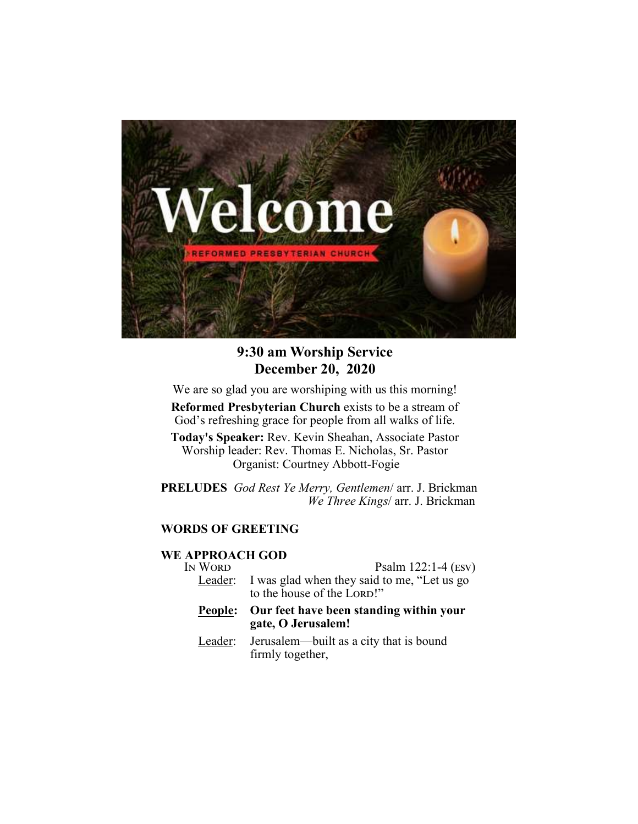

## **9:30 am Worship Service December 20, 2020**

We are so glad you are worshiping with us this morning!

**Reformed Presbyterian Church** exists to be a stream of God's refreshing grace for people from all walks of life.

**Today's Speaker:** Rev. Kevin Sheahan, Associate Pastor Worship leader: Rev. Thomas E. Nicholas, Sr. Pastor Organist: Courtney Abbott-Fogie

**PRELUDES** *God Rest Ye Merry, Gentlemen*/ arr. J. Brickman  *We Three Kings*/ arr. J. Brickman

#### **WORDS OF GREETING**

#### **WE APPROACH GOD**

| IN WORD | Psalm $122:1-4$ (ESV)                                                     |
|---------|---------------------------------------------------------------------------|
| Leader: | I was glad when they said to me, "Let us go<br>to the house of the LORD!" |
|         |                                                                           |
| People: | Our feet have been standing within your<br>gate, O Jerusalem!             |
| Leader: | Jerusalem—built as a city that is bound<br>firmly together,               |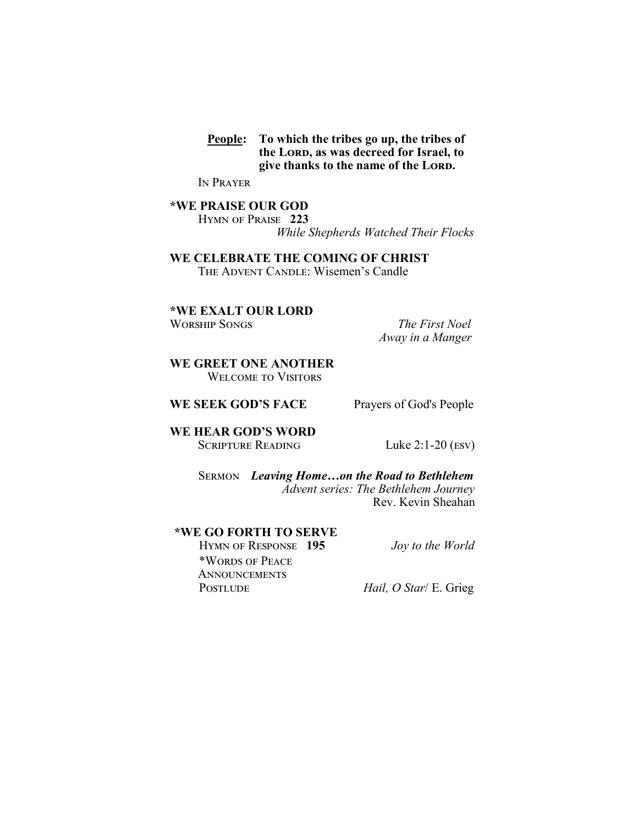#### **People: To which the tribes go up, the tribes of**  the LORD, as was decreed for Israel, to give thanks to the name of the LORD.

IN PRAYER

#### **\*WE PRAISE OUR GOD**

HYMN OF PRAISE 223 *While Shepherds Watched Their Flocks*

**WE CELEBRATE THE COMING OF CHRIST**  THE ADVENT CANDLE: Wisemen's Candle

#### **\*WE EXALT OUR LORD**

WORSHIP SONGS The First Noel  *Away in a Manger*

**WE GREET ONE ANOTHER** WELCOME TO VISITORS

#### WE SEEK GOD'S FACE Prayers of God's People

**WE HEAR GOD'S WORD**  SCRIPTURE READING Luke 2:1-20 (ESV)

SERMON Leaving Home...on the Road to Bethlehem *Advent series: The Bethlehem Journey*  Rev. Kevin Sheahan

#### **\*WE GO FORTH TO SERVE**

HYMN OF RESPONSE 195 *Joy to the World* \*WORDS OF PEACE ANNOUNCEMENTS<br>POSTLUDE

Hail, O Star/ E. Grieg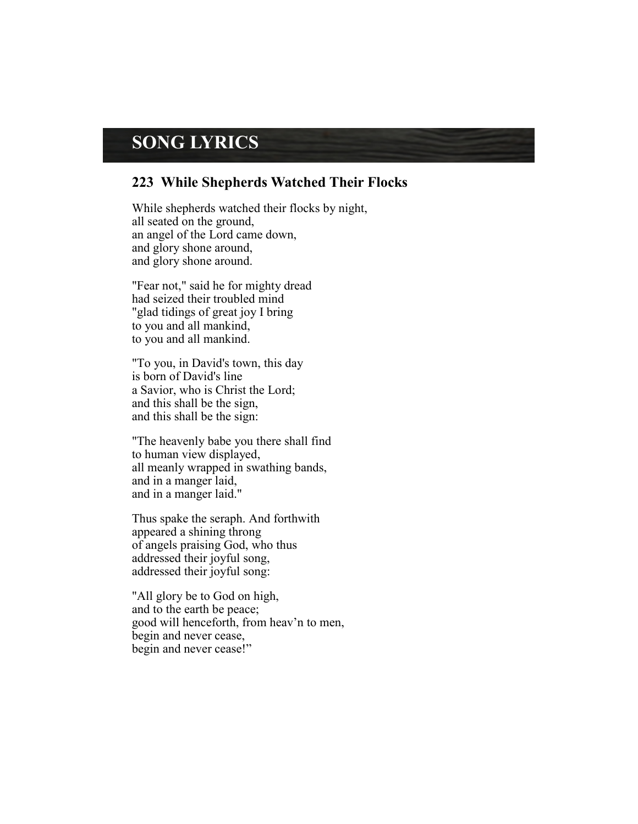# **SONG LYRICS**

#### **223 While Shepherds Watched Their Flocks**

While shepherds watched their flocks by night, all seated on the ground, an angel of the Lord came down, and glory shone around, and glory shone around.

"Fear not," said he for mighty dread had seized their troubled mind "glad tidings of great joy I bring to you and all mankind, to you and all mankind.

"To you, in David's town, this day is born of David's line a Savior, who is Christ the Lord; and this shall be the sign, and this shall be the sign:

"The heavenly babe you there shall find to human view displayed, all meanly wrapped in swathing bands, and in a manger laid, and in a manger laid."

Thus spake the seraph. And forthwith appeared a shining throng of angels praising God, who thus addressed their joyful song, addressed their joyful song:

"All glory be to God on high, and to the earth be peace; good will henceforth, from heav'n to men, begin and never cease, begin and never cease!"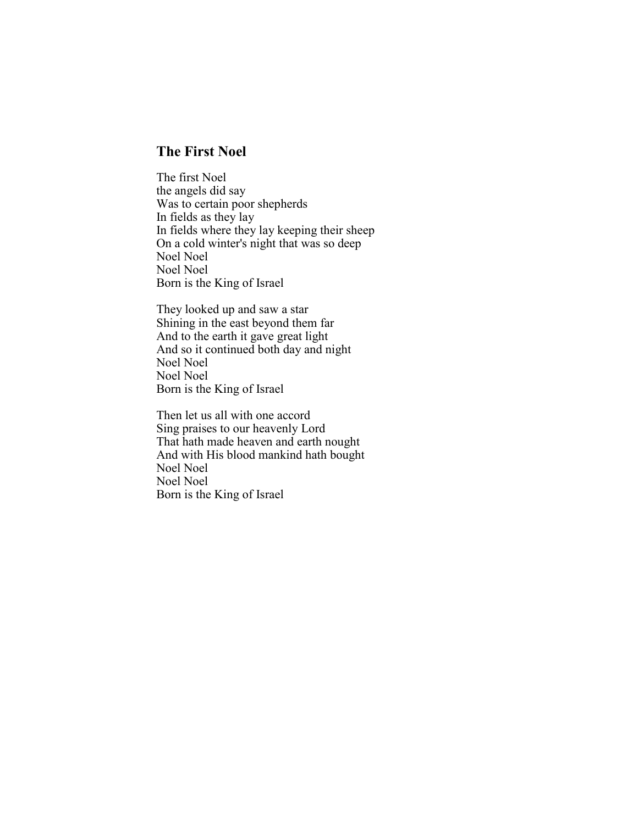### **The First Noel**

The first Noel the angels did say Was to certain poor shepherds In fields as they lay In fields where they lay keeping their sheep On a cold winter's night that was so deep Noel Noel Noel Noel Born is the King of Israel

They looked up and saw a star Shining in the east beyond them far And to the earth it gave great light And so it continued both day and night Noel Noel Noel Noel Born is the King of Israel

Then let us all with one accord Sing praises to our heavenly Lord That hath made heaven and earth nought And with His blood mankind hath bought Noel Noel Noel Noel Born is the King of Israel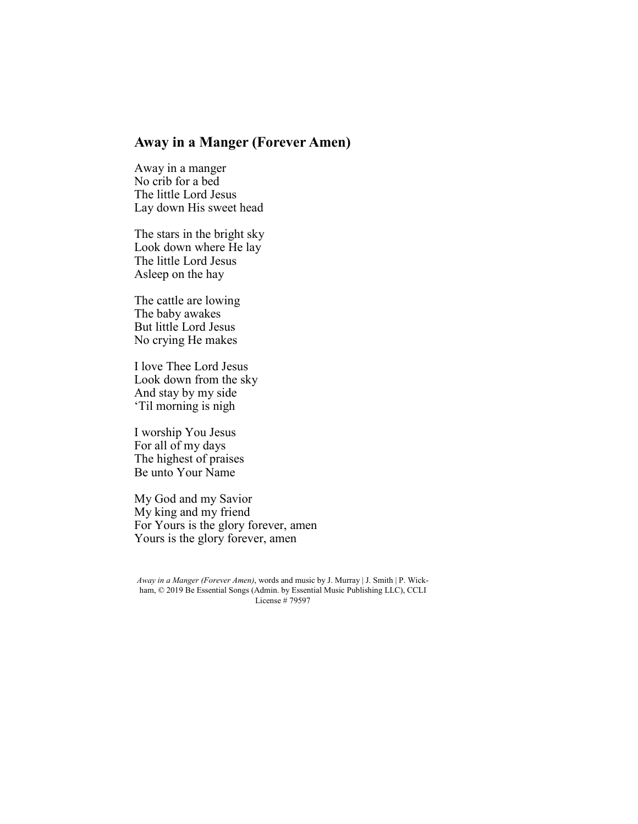#### **Away in a Manger (Forever Amen)**

Away in a manger No crib for a bed The little Lord Jesus Lay down His sweet head

The stars in the bright sky Look down where He lay The little Lord Jesus Asleep on the hay

The cattle are lowing The baby awakes But little Lord Jesus No crying He makes

I love Thee Lord Jesus Look down from the sky And stay by my side 'Til morning is nigh

I worship You Jesus For all of my days The highest of praises Be unto Your Name

My God and my Savior My king and my friend For Yours is the glory forever, amen Yours is the glory forever, amen

*Away in a Manger (Forever Amen)*, words and music by J. Murray | J. Smith | P. Wickham, © 2019 Be Essential Songs (Admin. by Essential Music Publishing LLC), CCLI License # 79597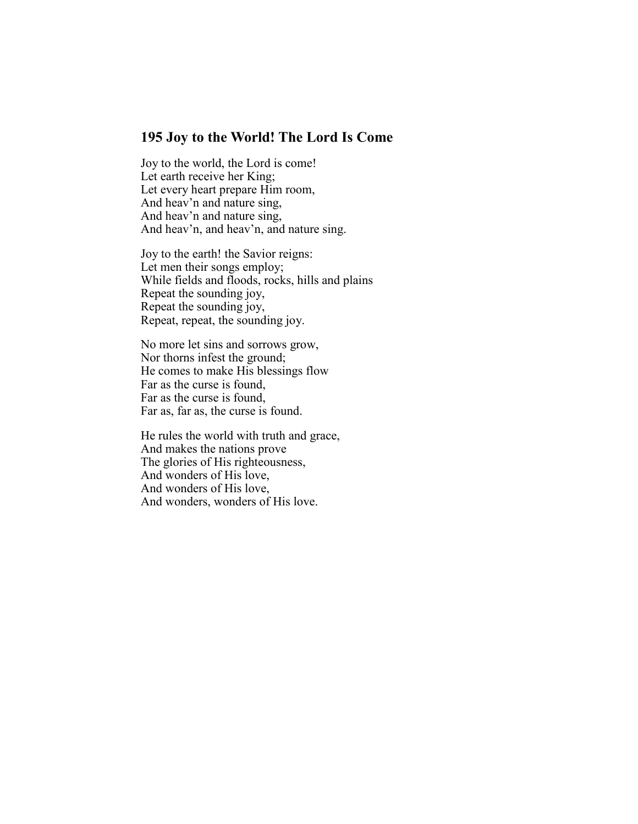#### **195 Joy to the World! The Lord Is Come**

Joy to the world, the Lord is come! Let earth receive her King; Let every heart prepare Him room, And heav'n and nature sing, And heav'n and nature sing, And heav'n, and heav'n, and nature sing.

Joy to the earth! the Savior reigns: Let men their songs employ; While fields and floods, rocks, hills and plains Repeat the sounding joy, Repeat the sounding joy, Repeat, repeat, the sounding joy.

No more let sins and sorrows grow, Nor thorns infest the ground; He comes to make His blessings flow Far as the curse is found, Far as the curse is found, Far as, far as, the curse is found.

He rules the world with truth and grace, And makes the nations prove The glories of His righteousness, And wonders of His love, And wonders of His love, And wonders, wonders of His love.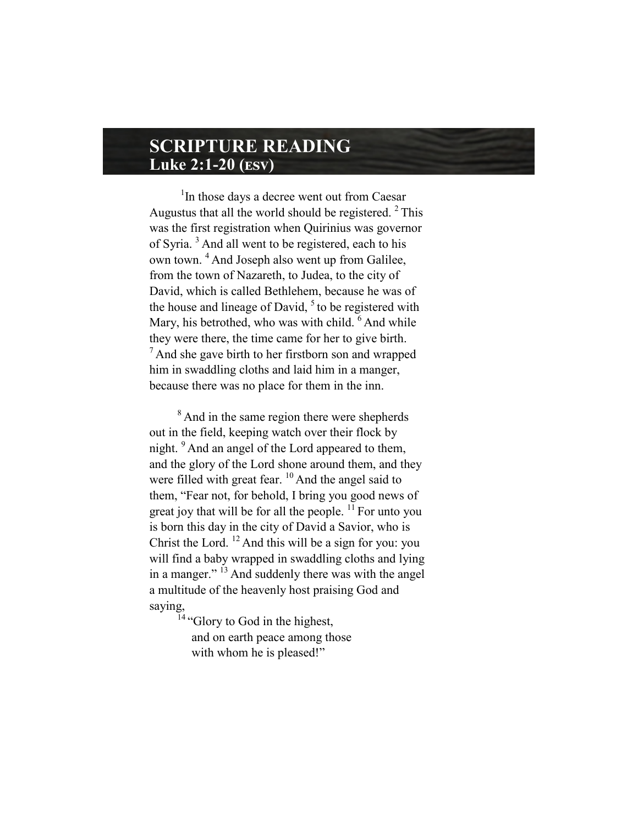# **SCRIPTURE READING Luke 2:1-20 (ESV)**

<sup>1</sup>In those days a decree went out from Caesar Augustus that all the world should be registered.  $2$  This was the first registration when Quirinius was governor of Syria.<sup>3</sup> And all went to be registered, each to his own town. <sup>4</sup>And Joseph also went up from Galilee, from the town of Nazareth, to Judea, to the city of David, which is called Bethlehem, because he was of the house and lineage of David,  $5$  to be registered with Mary, his betrothed, who was with child.  $6$  And while they were there, the time came for her to give birth.  $<sup>7</sup>$  And she gave birth to her firstborn son and wrapped</sup> him in swaddling cloths and laid him in a manger, because there was no place for them in the inn.

 $8$ And in the same region there were shepherds out in the field, keeping watch over their flock by night. <sup>9</sup> And an angel of the Lord appeared to them, and the glory of the Lord shone around them, and they were filled with great fear.  $^{10}$  And the angel said to them, "Fear not, for behold, I bring you good news of great joy that will be for all the people.  $^{11}$  For unto you is born this day in the city of David a Savior, who is Christ the Lord.  $^{12}$  And this will be a sign for you: you will find a baby wrapped in swaddling cloths and lying in a manger."  $13$  And suddenly there was with the angel a multitude of the heavenly host praising God and saying,

> <sup>14</sup>"Glory to God in the highest, and on earth peace among those with whom he is pleased!"